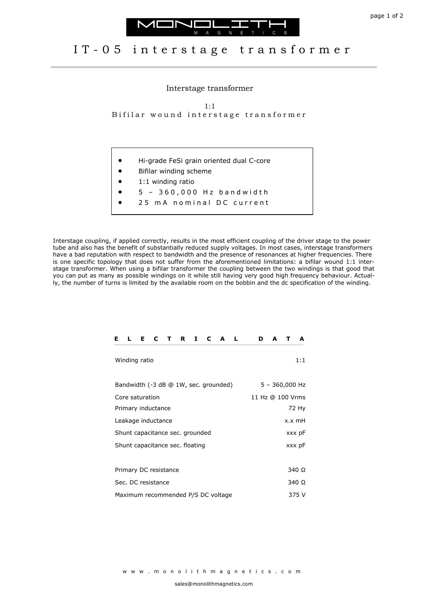



## IT-05 interstage transformer

Interstage transformer

1:1 Bifilar wound interstage transformer

- Hi-grade FeSi grain oriented dual C-core
- Bifilar winding scheme
- 1:1 winding ratio
- 5 3 6 0 , 0 0 0 H z b a n d w i d t h
- 25 m A n o m i n a l D C current

Interstage coupling, if applied correctly, results in the most efficient coupling of the driver stage to the power tube and also has the benefit of substantially reduced supply voltages. In most cases, interstage transformers have a bad reputation with respect to bandwidth and the presence of resonances at higher frequencies. There is one specific topology that does not suffer from the aforementioned limitations: a bifilar wound 1:1 interstage transformer. When using a bifilar transformer the coupling between the two windings is that good that you can put as many as possible windings on it while still having very good high frequency behaviour. Actually, the number of turns is limited by the available room on the bobbin and the dc specification of the winding.

| Е                                     | L             | Е. | C |  | TRI              |              | C     | A L |  |  | D | A |  | A   |
|---------------------------------------|---------------|----|---|--|------------------|--------------|-------|-----|--|--|---|---|--|-----|
|                                       | Winding ratio |    |   |  |                  |              |       |     |  |  |   |   |  | 1:1 |
| Bandwidth (-3 dB @ 1W, sec. grounded) |               |    |   |  | $5 - 360,000$ Hz |              |       |     |  |  |   |   |  |     |
| Core saturation                       |               |    |   |  | 11 Hz @ 100 Vrms |              |       |     |  |  |   |   |  |     |
| Primary inductance                    |               |    |   |  | 72 Hy            |              |       |     |  |  |   |   |  |     |
| Leakage inductance                    |               |    |   |  | x.x mH           |              |       |     |  |  |   |   |  |     |
| Shunt capacitance sec. grounded       |               |    |   |  | xxx pF           |              |       |     |  |  |   |   |  |     |
| Shunt capacitance sec. floating       |               |    |   |  | xxx pF           |              |       |     |  |  |   |   |  |     |
|                                       |               |    |   |  |                  |              |       |     |  |  |   |   |  |     |
| Primary DC resistance                 |               |    |   |  |                  |              | 340 Ω |     |  |  |   |   |  |     |
| Sec. DC resistance                    |               |    |   |  |                  | 340 $\Omega$ |       |     |  |  |   |   |  |     |
| Maximum recommended P/S DC voltage    |               |    |   |  | 375 V            |              |       |     |  |  |   |   |  |     |

w w w . m o n o l i t h m a g n e t i c s . c o m